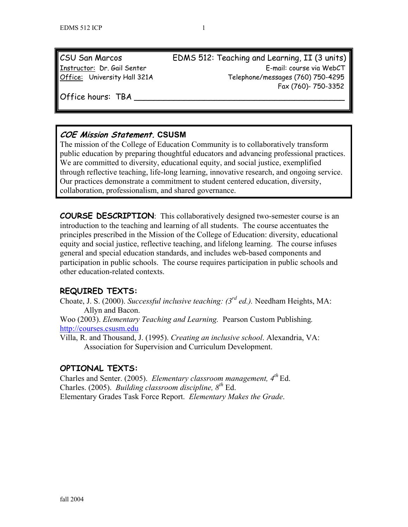| CSU San Marcos               | EDMS 512: Teaching ar |
|------------------------------|-----------------------|
| Instructor: Dr. Gail Senter  |                       |
| Office: University Hall 321A | Telephone             |

nd Learning, II (3 units) E-mail: course via WebCT Offices: University Messages (760) 750-4295 Fax (760)- 750-3352

Office hours: TBA

# **COE Mission Statement. CSUSM**

The mission of the College of Education Community is to collaboratively transform public education by preparing thoughtful educators and advancing professional practices. We are committed to diversity, educational equity, and social justice, exemplified through reflective teaching, life-long learning, innovative research, and ongoing service. Our practices demonstrate a commitment to student centered education, diversity, collaboration, professionalism, and shared governance.

**COURSE DESCRIPTION**: This collaboratively designed two-semester course is an introduction to the teaching and learning of all students. The course accentuates the principles prescribed in the Mission of the College of Education: diversity, educational equity and social justice, reflective teaching, and lifelong learning. The course infuses general and special education standards, and includes web-based components and participation in public schools. The course requires participation in public schools and other education-related contexts.

## **REQUIRED TEXTS:**

Choate, J. S. (2000). *Successful inclusive teaching: (3rd ed.).* Needham Heights, MA: Allyn and Bacon.

Woo (2003). *Elementary Teaching and Learning.* Pearson Custom Publishing*.* http://courses.csusm.edu

Villa, R. and Thousand, J. (1995). *Creating an inclusive school*. Alexandria, VA: Association for Supervision and Curriculum Development.

## **OPTIONAL TEXTS:**

Charles and Senter. (2005). *Elementary classroom management, 4th* Ed. Charles. (2005). *Building classroom discipline, 8th* Ed. Elementary Grades Task Force Report. *Elementary Makes the Grade*.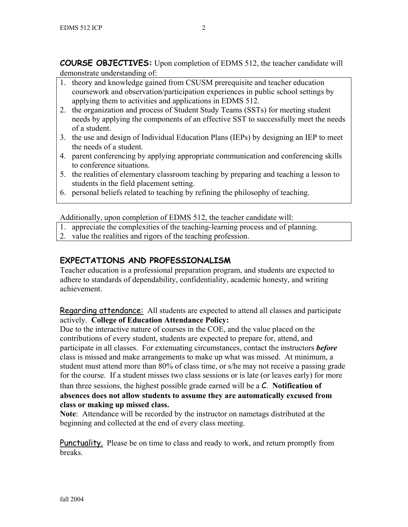**COURSE OBJECTIVES:** Upon completion of EDMS 512, the teacher candidate will demonstrate understanding of:

- 1. theory and knowledge gained from CSUSM prerequisite and teacher education coursework and observation/participation experiences in public school settings by applying them to activities and applications in EDMS 512.
- 2. the organization and process of Student Study Teams (SSTs) for meeting student needs by applying the components of an effective SST to successfully meet the needs of a student.
- 3. the use and design of Individual Education Plans (IEPs) by designing an IEP to meet the needs of a student.
- 4. parent conferencing by applying appropriate communication and conferencing skills to conference situations.
- 5. the realities of elementary classroom teaching by preparing and teaching a lesson to students in the field placement setting.
- 6. personal beliefs related to teaching by refining the philosophy of teaching.

Additionally, upon completion of EDMS 512, the teacher candidate will:

- 1. appreciate the complexities of the teaching-learning process and of planning.
- 2. value the realities and rigors of the teaching profession.

## **EXPECTATIONS AND PROFESSIONALISM**

Teacher education is a professional preparation program, and students are expected to adhere to standards of dependability, confidentiality, academic honesty, and writing achievement.

Regarding attendance: All students are expected to attend all classes and participate actively. **College of Education Attendance Policy:** 

Due to the interactive nature of courses in the COE, and the value placed on the contributions of every student, students are expected to prepare for, attend, and participate in all classes. For extenuating circumstances, contact the instructors *before* class is missed and make arrangements to make up what was missed. At minimum, a student must attend more than 80% of class time, or s/he may not receive a passing grade for the course. If a student misses two class sessions or is late (or leaves early) for more than three sessions, the highest possible grade earned will be a C. **Notification of absences does not allow students to assume they are automatically excused from class or making up missed class.** 

**Note**: Attendance will be recorded by the instructor on nametags distributed at the beginning and collected at the end of every class meeting.

Punctuality. Please be on time to class and ready to work, and return promptly from breaks.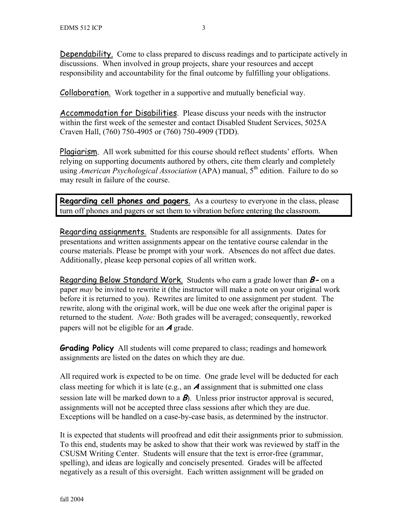Dependability. Come to class prepared to discuss readings and to participate actively in discussions. When involved in group projects, share your resources and accept responsibility and accountability for the final outcome by fulfilling your obligations.

Collaboration. Work together in a supportive and mutually beneficial way.

Accommodation for Disabilities. Please discuss your needs with the instructor within the first week of the semester and contact Disabled Student Services, 5025A Craven Hall, (760) 750-4905 or (760) 750-4909 (TDD).

Plagiarism. All work submitted for this course should reflect students' efforts. When relying on supporting documents authored by others, cite them clearly and completely using *American Psychological Association* (APA) manual, 5<sup>th</sup> edition. Failure to do so may result in failure of the course.

**Regarding cell phones and pagers**. As a courtesy to everyone in the class, please turn off phones and pagers or set them to vibration before entering the classroom.

Regarding assignments. Students are responsible for all assignments. Dates for presentations and written assignments appear on the tentative course calendar in the course materials. Please be prompt with your work. Absences do not affect due dates. Additionally, please keep personal copies of all written work.

Regarding Below Standard Work. Students who earn a grade lower than **B-** on a paper *may* be invited to rewrite it (the instructor will make a note on your original work before it is returned to you). Rewrites are limited to one assignment per student. The rewrite, along with the original work, will be due one week after the original paper is returned to the student. *Note:* Both grades will be averaged; consequently, reworked papers will not be eligible for an **A** grade.

**Grading Policy** All students will come prepared to class; readings and homework assignments are listed on the dates on which they are due.

All required work is expected to be on time. One grade level will be deducted for each class meeting for which it is late (e.g., an **A** assignment that is submitted one class session late will be marked down to a **B**). Unless prior instructor approval is secured, assignments will not be accepted three class sessions after which they are due. Exceptions will be handled on a case-by-case basis, as determined by the instructor.

It is expected that students will proofread and edit their assignments prior to submission. To this end, students may be asked to show that their work was reviewed by staff in the CSUSM Writing Center. Students will ensure that the text is error-free (grammar, spelling), and ideas are logically and concisely presented. Grades will be affected negatively as a result of this oversight. Each written assignment will be graded on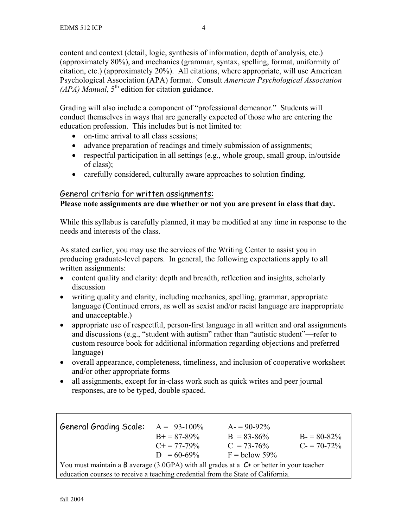content and context (detail, logic, synthesis of information, depth of analysis, etc.) (approximately 80%), and mechanics (grammar, syntax, spelling, format, uniformity of citation, etc.) (approximately 20%). All citations, where appropriate, will use American Psychological Association (APA) format. Consult *American Psychological Association*  $(APA)$  *Manual*,  $5<sup>th</sup>$  edition for citation guidance.

Grading will also include a component of "professional demeanor." Students will conduct themselves in ways that are generally expected of those who are entering the education profession. This includes but is not limited to:

- on-time arrival to all class sessions;
- advance preparation of readings and timely submission of assignments;
- respectful participation in all settings (e.g., whole group, small group, in/outside of class);
- carefully considered, culturally aware approaches to solution finding.

### General criteria for written assignments:

### **Please note assignments are due whether or not you are present in class that day.**

While this syllabus is carefully planned, it may be modified at any time in response to the needs and interests of the class.

As stated earlier, you may use the services of the Writing Center to assist you in producing graduate-level papers. In general, the following expectations apply to all written assignments:

- content quality and clarity: depth and breadth, reflection and insights, scholarly discussion
- writing quality and clarity, including mechanics, spelling, grammar, appropriate language (Continued errors, as well as sexist and/or racist language are inappropriate and unacceptable.)
- appropriate use of respectful, person-first language in all written and oral assignments and discussions (e.g., "student with autism" rather than "autistic student"—refer to custom resource book for additional information regarding objections and preferred language)
- overall appearance, completeness, timeliness, and inclusion of cooperative worksheet and/or other appropriate forms
- all assignments, except for in-class work such as quick writes and peer journal responses, are to be typed, double spaced.

| <b>General Grading Scale:</b>                                                               | $A = 93-100\%$        | $A = 90-92\%$   |               |
|---------------------------------------------------------------------------------------------|-----------------------|-----------------|---------------|
|                                                                                             | $B_{+} = 87 - 89\%$   | $B = 83 - 86%$  | $B = 80-82\%$ |
|                                                                                             | $C_{\pm} = 77 - 79\%$ | $C = 73 - 76%$  | $C = 70-72\%$ |
|                                                                                             | $D = 60-69\%$         | $F =$ below 59% |               |
| You must maintain a B average (3.0GPA) with all grades at a $C^+$ or better in your teacher |                       |                 |               |
| education courses to receive a teaching credential from the State of California.            |                       |                 |               |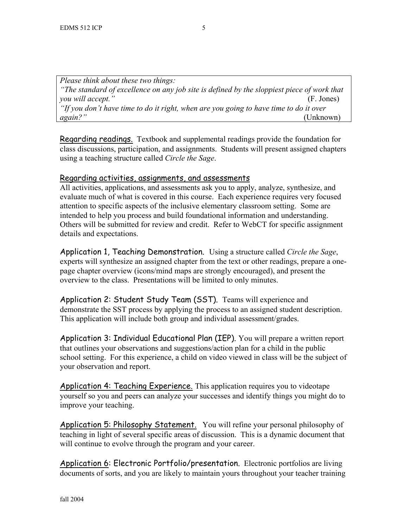*Please think about these two things: "The standard of excellence on any job site is defined by the sloppiest piece of work that you will accept."* (F. Jones) *"If you don't have time to do it right, when are you going to have time to do it over again?"* (Unknown)

Regarding readings. Textbook and supplemental readings provide the foundation for class discussions, participation, and assignments. Students will present assigned chapters using a teaching structure called *Circle the Sage*.

### Regarding activities, assignments, and assessments

All activities, applications, and assessments ask you to apply, analyze, synthesize, and evaluate much of what is covered in this course. Each experience requires very focused attention to specific aspects of the inclusive elementary classroom setting. Some are intended to help you process and build foundational information and understanding. Others will be submitted for review and credit. Refer to WebCT for specific assignment details and expectations.

Application 1, Teaching Demonstration. Using a structure called *Circle the Sage*, experts will synthesize an assigned chapter from the text or other readings, prepare a onepage chapter overview (icons/mind maps are strongly encouraged), and present the overview to the class. Presentations will be limited to only minutes.

Application 2: Student Study Team (SST). Teams will experience and demonstrate the SST process by applying the process to an assigned student description. This application will include both group and individual assessment/grades.

Application 3: Individual Educational Plan (IEP). You will prepare a written report that outlines your observations and suggestions/action plan for a child in the public school setting. For this experience, a child on video viewed in class will be the subject of your observation and report.

Application 4: Teaching Experience. This application requires you to videotape yourself so you and peers can analyze your successes and identify things you might do to improve your teaching.

Application 5: Philosophy Statement. You will refine your personal philosophy of teaching in light of several specific areas of discussion. This is a dynamic document that will continue to evolve through the program and your career.

Application 6: Electronic Portfolio/presentation. Electronic portfolios are living documents of sorts, and you are likely to maintain yours throughout your teacher training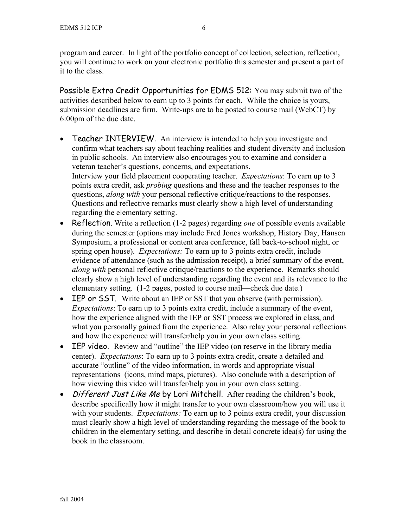program and career. In light of the portfolio concept of collection, selection, reflection, you will continue to work on your electronic portfolio this semester and present a part of it to the class.

Possible Extra Credit Opportunities for EDMS 512: You may submit two of the activities described below to earn up to 3 points for each. While the choice is yours, submission deadlines are firm. Write-ups are to be posted to course mail (WebCT) by 6:00pm of the due date.

- Teacher INTERVIEW. An interview is intended to help you investigate and confirm what teachers say about teaching realities and student diversity and inclusion in public schools. An interview also encourages you to examine and consider a veteran teacher's questions, concerns, and expectations. Interview your field placement cooperating teacher. *Expectations*: To earn up to 3 points extra credit, ask *probing* questions and these and the teacher responses to the questions, *along with* your personal reflective critique/reactions to the responses. Questions and reflective remarks must clearly show a high level of understanding regarding the elementary setting.
- Reflection. Write a reflection (1-2 pages) regarding *one* of possible events available during the semester (options may include Fred Jones workshop, History Day, Hansen Symposium, a professional or content area conference, fall back-to-school night, or spring open house). *Expectations:* To earn up to 3 points extra credit, include evidence of attendance (such as the admission receipt), a brief summary of the event, *along with* personal reflective critique/reactions to the experience. Remarks should clearly show a high level of understanding regarding the event and its relevance to the elementary setting. (1-2 pages, posted to course mail—check due date.)
- IEP or SST. Write about an IEP or SST that you observe (with permission). *Expectations*: To earn up to 3 points extra credit, include a summary of the event, how the experience aligned with the IEP or SST process we explored in class, and what you personally gained from the experience. Also relay your personal reflections and how the experience will transfer/help you in your own class setting.
- **IEP video.** Review and "outline" the IEP video (on reserve in the library media center). *Expectations*: To earn up to 3 points extra credit, create a detailed and accurate "outline" of the video information, in words and appropriate visual representations (icons, mind maps, pictures). Also conclude with a description of how viewing this video will transfer/help you in your own class setting.
- Different Just Like Me by Lori Mitchell. After reading the children's book, describe specifically how it might transfer to your own classroom/how you will use it with your students. *Expectations:* To earn up to 3 points extra credit, your discussion must clearly show a high level of understanding regarding the message of the book to children in the elementary setting, and describe in detail concrete idea(s) for using the book in the classroom.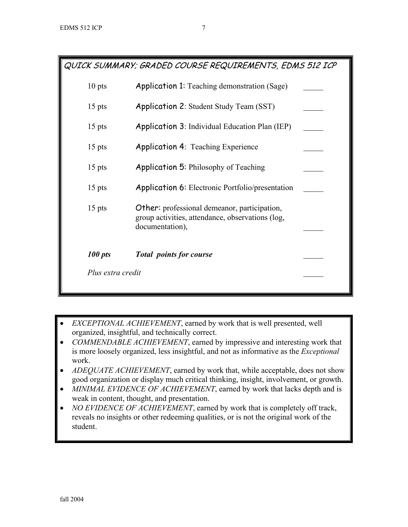QUICK SUMMARY; GRADED COURSE REQUIREMENTS, EDMS 512 ICP

| 100 pts  | <b>Total points for course</b>                                                                          |  |
|----------|---------------------------------------------------------------------------------------------------------|--|
|          | documentation),                                                                                         |  |
| $15$ pts | <b>Other:</b> professional demeanor, participation,<br>group activities, attendance, observations (log, |  |
| $15$ pts | <b>Application 6:</b> Electronic Portfolio/presentation                                                 |  |
| $15$ pts | <b>Application 5: Philosophy of Teaching</b>                                                            |  |
| $15$ pts | <b>Application 4: Teaching Experience</b>                                                               |  |
| $15$ pts | <b>Application 3: Individual Education Plan (IEP)</b>                                                   |  |
| $15$ pts | <b>Application 2: Student Study Team (SST)</b>                                                          |  |
| $10$ pts | <b>Application 1:</b> Teaching demonstration (Sage)                                                     |  |

- *EXCEPTIONAL ACHIEVEMENT*, earned by work that is well presented, well organized, insightful, and technically correct.
- *COMMENDABLE ACHIEVEMENT*, earned by impressive and interesting work that is more loosely organized, less insightful, and not as informative as the *Exceptional*  work.
- *ADEQUATE ACHIEVEMENT*, earned by work that, while acceptable, does not show good organization or display much critical thinking, insight, involvement, or growth.
- *MINIMAL EVIDENCE OF ACHIEVEMENT*, earned by work that lacks depth and is weak in content, thought, and presentation.
- *NO EVIDENCE OF ACHIEVEMENT*, earned by work that is completely off track, reveals no insights or other redeeming qualities, or is not the original work of the student.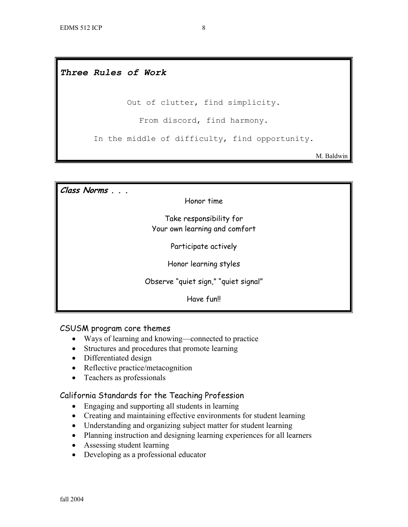### *Three Rules of Work*

Out of clutter, find simplicity.

From discord, find harmony.

In the middle of difficulty, find opportunity.

M. Baldwin

**Class Norms . . .**  Honor time Take responsibility for Your own learning and comfort Participate actively Honor learning styles Observe "quiet sign," "quiet signal" Have fun!!

#### CSUSM program core themes

- Ways of learning and knowing—connected to practice
- Structures and procedures that promote learning
- Differentiated design
- Reflective practice/metacognition
- Teachers as professionals

#### California Standards for the Teaching Profession

- Engaging and supporting all students in learning
- Creating and maintaining effective environments for student learning
- Understanding and organizing subject matter for student learning
- Planning instruction and designing learning experiences for all learners
- Assessing student learning
- Developing as a professional educator